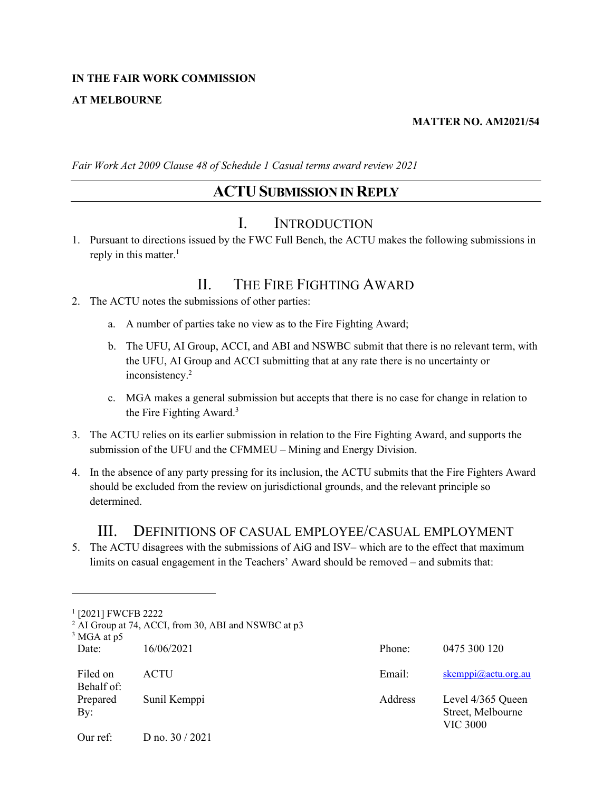#### **IN THE FAIR WORK COMMISSION**

#### **AT MELBOURNE**

#### **MATTER NO. AM2021/54**

*Fair Work Act 2009 Clause 48 of Schedule 1 Casual terms award review 2021*

### **ACTUSUBMISSION IN REPLY**

### I. INTRODUCTION

1. Pursuant to directions issued by the FWC Full Bench, the ACTU makes the following submissions in reply in this matter.<sup>1</sup>

### II. THE FIRE FIGHTING AWARD

- 2. The ACTU notes the submissions of other parties:
	- a. A number of parties take no view as to the Fire Fighting Award;
	- b. The UFU, AI Group, ACCI, and ABI and NSWBC submit that there is no relevant term, with the UFU, AI Group and ACCI submitting that at any rate there is no uncertainty or inconsistency.<sup>2</sup>
	- c. MGA makes a general submission but accepts that there is no case for change in relation to the Fire Fighting Award.<sup>3</sup>
- 3. The ACTU relies on its earlier submission in relation to the Fire Fighting Award, and supports the submission of the UFU and the CFMMEU – Mining and Energy Division.
- 4. In the absence of any party pressing for its inclusion, the ACTU submits that the Fire Fighters Award should be excluded from the review on jurisdictional grounds, and the relevant principle so determined.

#### III. DEFINITIONS OF CASUAL EMPLOYEE/CASUAL EMPLOYMENT

5. The ACTU disagrees with the submissions of AiG and ISV– which are to the effect that maximum limits on casual engagement in the Teachers' Award should be removed – and submits that:

<sup>1</sup> [2021] FWCFB 2222

<sup>&</sup>lt;sup>2</sup> AI Group at 74, ACCI, from 30, ABI and NSWBC at p3

Date: 16/06/2021 Phone: 0475 300 120 Filed on Behalf of: ACTU Email: [skemppi@actu.org.au](mailto:skemppi@actu.org.au) Prepared By: Sunil Kemppi **Address** Level 4/365 Queen Street, Melbourne VIC 3000 Our ref: D no. 30 / 2021 <sup>3</sup> MGA at p5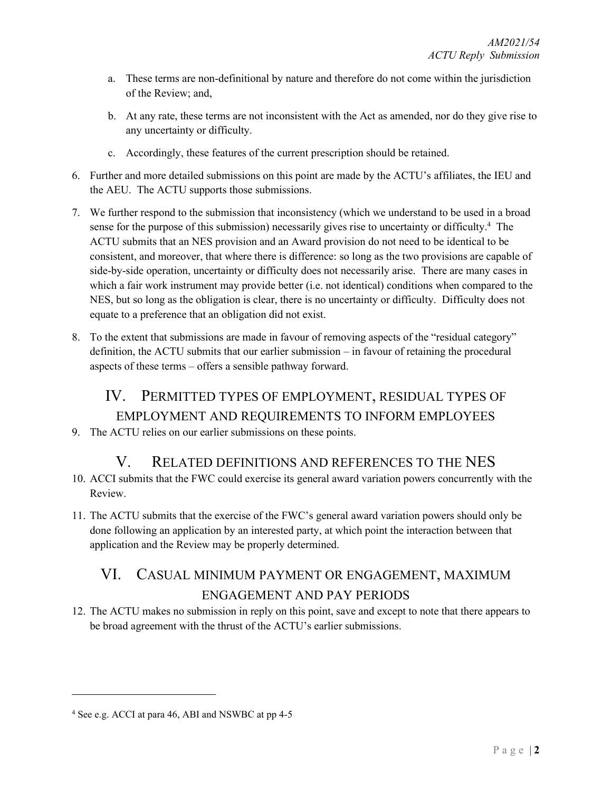- a. These terms are non-definitional by nature and therefore do not come within the jurisdiction of the Review; and,
- b. At any rate, these terms are not inconsistent with the Act as amended, nor do they give rise to any uncertainty or difficulty.
- c. Accordingly, these features of the current prescription should be retained.
- 6. Further and more detailed submissions on this point are made by the ACTU's affiliates, the IEU and the AEU. The ACTU supports those submissions.
- 7. We further respond to the submission that inconsistency (which we understand to be used in a broad sense for the purpose of this submission) necessarily gives rise to uncertainty or difficulty.<sup>4</sup> The ACTU submits that an NES provision and an Award provision do not need to be identical to be consistent, and moreover, that where there is difference: so long as the two provisions are capable of side-by-side operation, uncertainty or difficulty does not necessarily arise. There are many cases in which a fair work instrument may provide better (i.e. not identical) conditions when compared to the NES, but so long as the obligation is clear, there is no uncertainty or difficulty. Difficulty does not equate to a preference that an obligation did not exist.
- 8. To the extent that submissions are made in favour of removing aspects of the "residual category" definition, the ACTU submits that our earlier submission – in favour of retaining the procedural aspects of these terms – offers a sensible pathway forward.

# IV. PERMITTED TYPES OF EMPLOYMENT, RESIDUAL TYPES OF EMPLOYMENT AND REQUIREMENTS TO INFORM EMPLOYEES

9. The ACTU relies on our earlier submissions on these points.

## V. RELATED DEFINITIONS AND REFERENCES TO THE NES

- 10. ACCI submits that the FWC could exercise its general award variation powers concurrently with the Review.
- 11. The ACTU submits that the exercise of the FWC's general award variation powers should only be done following an application by an interested party, at which point the interaction between that application and the Review may be properly determined.

# VI. CASUAL MINIMUM PAYMENT OR ENGAGEMENT, MAXIMUM ENGAGEMENT AND PAY PERIODS

12. The ACTU makes no submission in reply on this point, save and except to note that there appears to be broad agreement with the thrust of the ACTU's earlier submissions.

<sup>4</sup> See e.g. ACCI at para 46, ABI and NSWBC at pp 4-5